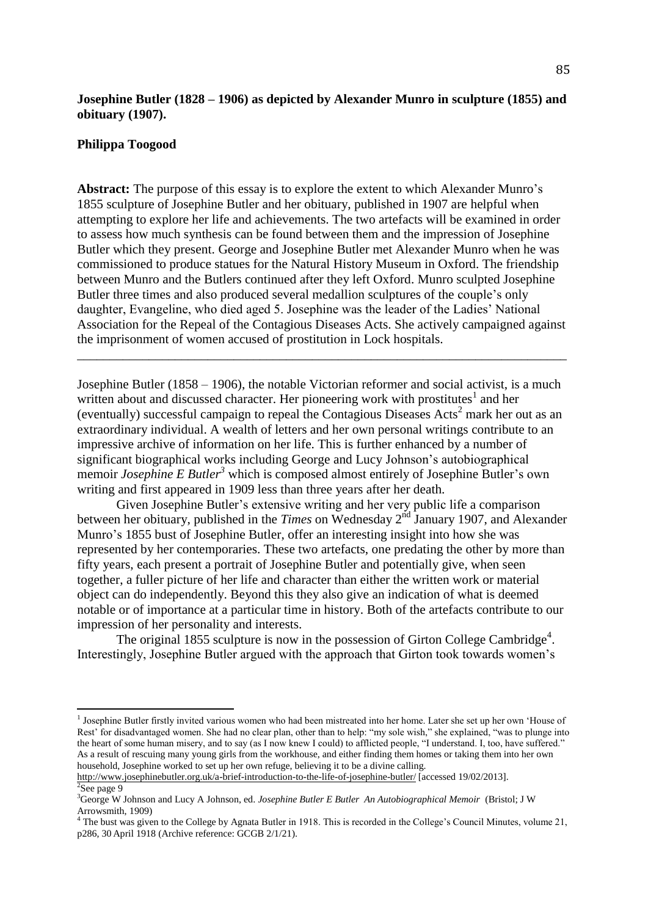### **Josephine Butler (1828 – 1906) as depicted by Alexander Munro in sculpture (1855) and obituary (1907).**

#### **Philippa Toogood**

l

**Abstract:** The purpose of this essay is to explore the extent to which Alexander Munro's 1855 sculpture of Josephine Butler and her obituary, published in 1907 are helpful when attempting to explore her life and achievements. The two artefacts will be examined in order to assess how much synthesis can be found between them and the impression of Josephine Butler which they present. George and Josephine Butler met Alexander Munro when he was commissioned to produce statues for the Natural History Museum in Oxford. The friendship between Munro and the Butlers continued after they left Oxford. Munro sculpted Josephine Butler three times and also produced several medallion sculptures of the couple's only daughter, Evangeline, who died aged 5. Josephine was the leader of the Ladies' National Association for the Repeal of the Contagious Diseases Acts. She actively campaigned against the imprisonment of women accused of prostitution in Lock hospitals.

\_\_\_\_\_\_\_\_\_\_\_\_\_\_\_\_\_\_\_\_\_\_\_\_\_\_\_\_\_\_\_\_\_\_\_\_\_\_\_\_\_\_\_\_\_\_\_\_\_\_\_\_\_\_\_\_\_\_\_\_\_\_\_\_\_\_\_\_\_\_\_\_\_\_\_

Josephine Butler (1858 – 1906), the notable Victorian reformer and social activist, is a much written about and discussed character. Her pioneering work with prostitutes<sup>1</sup> and her (eventually) successful campaign to repeal the Contagious Diseases Acts <sup>2</sup> mark her out as an extraordinary individual. A wealth of letters and her own personal writings contribute to an impressive archive of information on her life. This is further enhanced by a number of significant biographical works including George and Lucy Johnson's autobiographical memoir *Josephine E Butler<sup>3</sup>* which is composed almost entirely of Josephine Butler's own writing and first appeared in 1909 less than three years after her death.

Given Josephine Butler's extensive writing and her very public life a comparison between her obituary, published in the *Times* on Wednesday 2<sup>nd</sup> January 1907, and Alexander Munro's 1855 bust of Josephine Butler, offer an interesting insight into how she was represented by her contemporaries. These two artefacts, one predating the other by more than fifty years, each present a portrait of Josephine Butler and potentially give, when seen together, a fuller picture of her life and character than either the written work or material object can do independently. Beyond this they also give an indication of what is deemed notable or of importance at a particular time in history. Both of the artefacts contribute to our impression of her personality and interests.

The original 1855 sculpture is now in the possession of Girton College Cambridge<sup>4</sup>. Interestingly, Josephine Butler argued with the approach that Girton took towards women's

<sup>&</sup>lt;sup>1</sup> Josephine Butler firstly invited various women who had been mistreated into her home. Later she set up her own 'House of Rest' for disadvantaged women. She had no clear plan, other than to help: "my sole wish," she explained, "was to plunge into the heart of some human misery, and to say (as I now knew I could) to afflicted people, "I understand. I, too, have suffered." As a result of rescuing many young girls from the workhouse, and either finding them homes or taking them into her own household, Josephine worked to set up her own refuge, believing it to be a divine calling.

<http://www.josephinebutler.org.uk/a-brief-introduction-to-the-life-of-josephine-butler/> [accessed 19/02/2013].  $2$ See page 9

<sup>3</sup>George W Johnson and Lucy A Johnson, ed. *Josephine Butler E Butler An Autobiographical Memoir* (Bristol; J W Arrowsmith, 1909)

<sup>&</sup>lt;sup>4</sup> The bust was given to the College by Agnata Butler in 1918. This is recorded in the College's Council Minutes, volume 21, p286, 30 April 1918 (Archive reference: GCGB 2/1/21).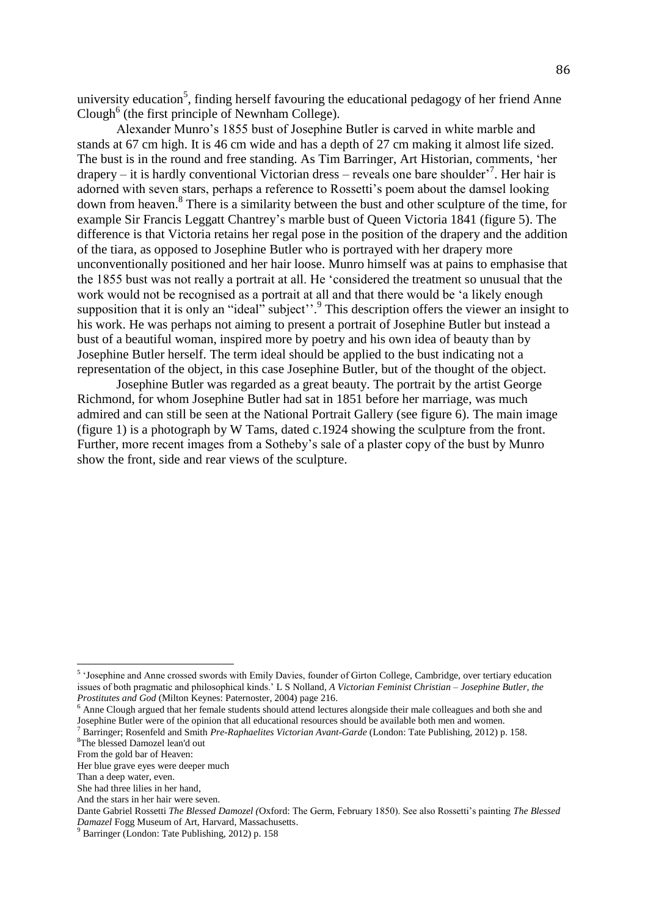university education<sup>5</sup>, finding herself favouring the educational pedagogy of her friend Anne Clough<sup>6</sup> (the first principle of Newnham College).

Alexander Munro's 1855 bust of Josephine Butler is carved in white marble and stands at 67 cm high. It is 46 cm wide and has a depth of 27 cm making it almost life sized. The bust is in the round and free standing. As Tim Barringer, Art Historian, comments, 'her drapery – it is hardly conventional Victorian dress – reveals one bare shoulder'<sup>7</sup> . Her hair is adorned with seven stars, perhaps a reference to Rossetti's poem about the damsel looking down from heaven.<sup>8</sup> There is a similarity between the bust and other sculpture of the time, for example Sir Francis Leggatt Chantrey's marble bust of Queen Victoria 1841 (figure 5). The difference is that Victoria retains her regal pose in the position of the drapery and the addition of the tiara, as opposed to Josephine Butler who is portrayed with her drapery more unconventionally positioned and her hair loose. Munro himself was at pains to emphasise that the 1855 bust was not really a portrait at all. He 'considered the treatment so unusual that the work would not be recognised as a portrait at all and that there would be 'a likely enough supposition that it is only an "ideal" subject".<sup>9</sup> This description offers the viewer an insight to his work. He was perhaps not aiming to present a portrait of Josephine Butler but instead a bust of a beautiful woman, inspired more by poetry and his own idea of beauty than by Josephine Butler herself. The term ideal should be applied to the bust indicating not a representation of the object, in this case Josephine Butler, but of the thought of the object.

Josephine Butler was regarded as a great beauty. The portrait by the artist George Richmond, for whom Josephine Butler had sat in 1851 before her marriage, was much admired and can still be seen at the National Portrait Gallery (see figure 6). The main image (figure 1) is a photograph by W Tams, dated c.1924 showing the sculpture from the front. Further, more recent images from a Sotheby's sale of a plaster copy of the bust by Munro show the front, side and rear views of the sculpture.

<sup>&</sup>lt;sup>5</sup> 'Josephine and Anne crossed swords with Emily Davies, founder of Girton College, Cambridge, over tertiary education issues of both pragmatic and philosophical kinds.' L S Nolland, *A Victorian Feminist Christian – Josephine Butler, the Prostitutes and God* (Milton Keynes: Paternoster, 2004) page 216.

<sup>&</sup>lt;sup>6</sup> Anne Clough argued that her female students should attend lectures alongside their male colleagues and both she and Josephine Butler were of the opinion that all educational resources should be available both men and women.

<sup>7</sup> Barringer; Rosenfeld and Smith *Pre-Raphaelites Victorian Avant-Garde* (London: Tate Publishing, 2012) p. 158.

<sup>8</sup>The blessed Damozel lean'd out

From the gold bar of Heaven:

Her blue grave eyes were deeper much

Than a deep water, even.

She had three lilies in her hand,

And the stars in her hair were seven.

Dante Gabriel Rossetti *The Blessed Damozel (*Oxford: The Germ, February 1850). See also Rossetti's painting *The Blessed Damazel* Fogg Museum of Art, Harvard, Massachusetts.

<sup>9</sup> Barringer (London: Tate Publishing, 2012) p. 158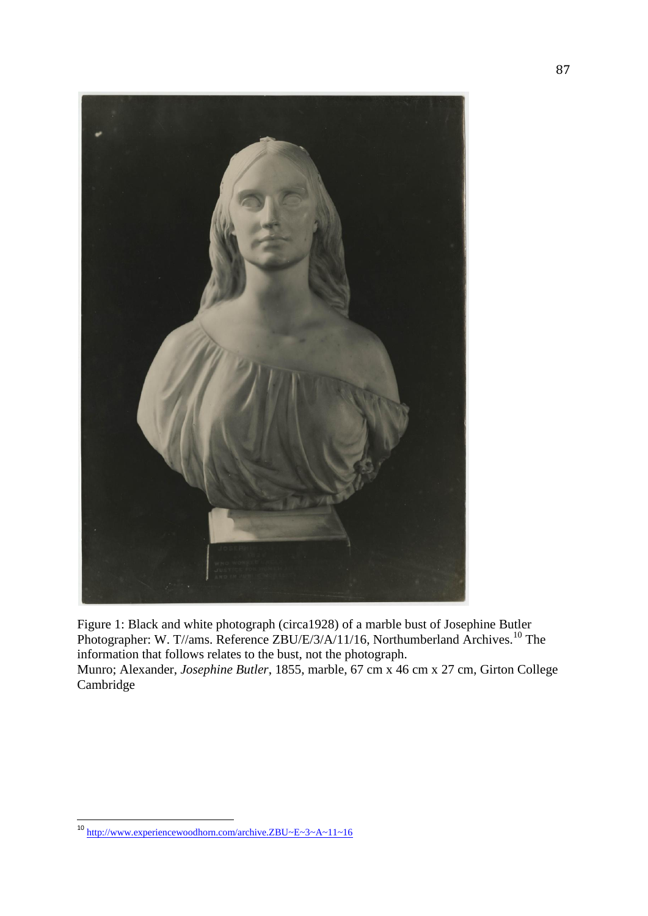

Figure 1: Black and white photograph (circa1928) of a marble bust of Josephine Butler Photographer: W. T//ams. Reference ZBU/E/3/A/11/16, Northumberland Archives.<sup>10</sup> The information that follows relates to the bust, not the photograph. Munro; Alexander, *Josephine Butler*, 1855, marble, 67 cm x 46 cm x 27 cm, Girton College Cambridge

<sup>&</sup>lt;sup>10</sup> <http://www.experiencewoodhorn.com/archive.ZBU~E~3~A~11~16>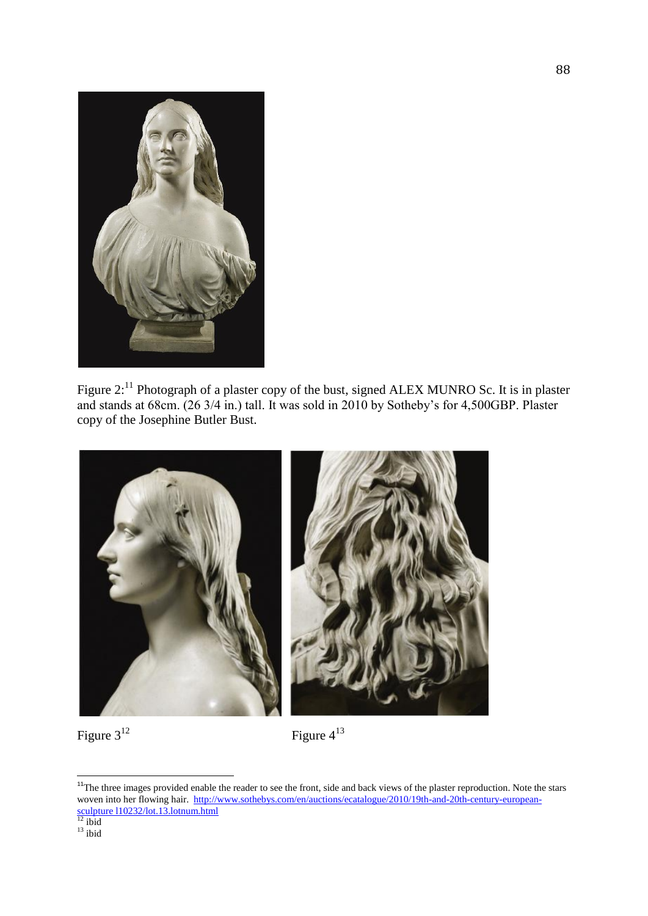

Figure 2:<sup>11</sup> Photograph of a plaster copy of the bust, signed ALEX MUNRO Sc. It is in plaster and stands at 68cm. (26 3/4 in.) tall. It was sold in 2010 by Sotheby's for 4,500GBP. Plaster copy of the Josephine Butler Bust.



# Figure 3<sup>12</sup>

Figure 4 13

<sup>&</sup>lt;sup>11</sup>The three images provided enable the reader to see the front, side and back views of the plaster reproduction. Note the stars woven into her flowing hair. [http://www.sothebys.com/en/auctions/ecatalogue/2010/19th-and-20th-century-european](http://www.sothebys.com/en/auctions/ecatalogue/2010/19th-and-20th-century-european-sculpture%20l10232/lot.13.lotnum.html)[sculpture l10232/lot.13.lotnum.html](http://www.sothebys.com/en/auctions/ecatalogue/2010/19th-and-20th-century-european-sculpture%20l10232/lot.13.lotnum.html)

 $12$  ibid  $13$  ibid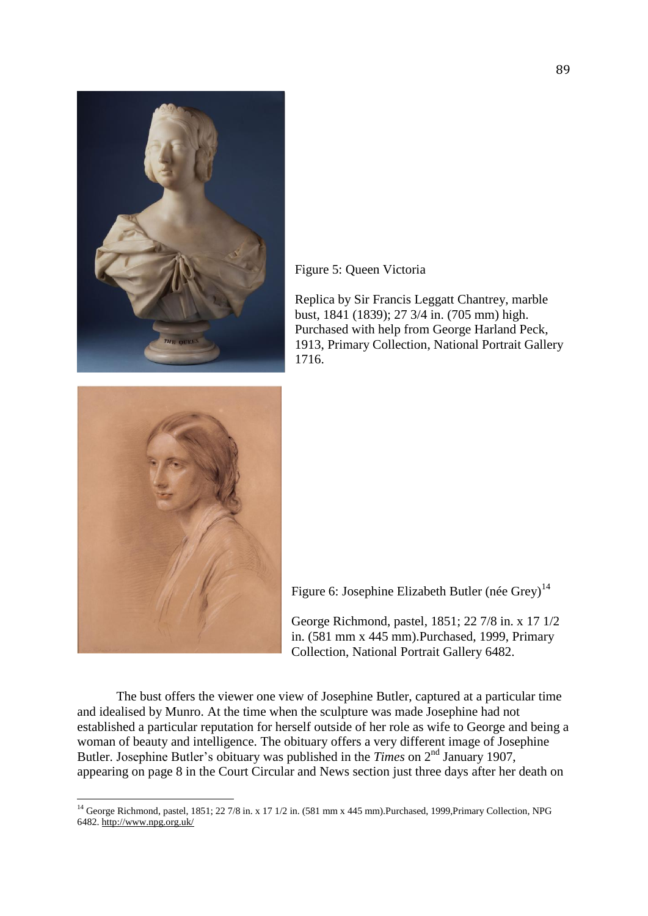

Figure 5: Queen Victoria

Replica by Sir Francis Leggatt Chantrey, marble bust, 1841 (1839); 27 3/4 in. (705 mm) high. Purchased with help from George Harland Peck, 1913, Primary Collection, National Portrait Gallery 1716.



 $\overline{a}$ 

Figure 6: Josephine Elizabeth Butler (née Grey)<sup>14</sup>

George Richmond, pastel, 1851; 22 7/8 in. x 17 1/2 in. (581 mm x 445 mm).Purchased, 1999, Primary Collection, National Portrait Gallery 6482.

The bust offers the viewer one view of Josephine Butler, captured at a particular time and idealised by Munro. At the time when the sculpture was made Josephine had not established a particular reputation for herself outside of her role as wife to George and being a woman of beauty and intelligence. The obituary offers a very different image of Josephine Butler. Josephine Butler's obituary was published in the *Times* on 2<sup>nd</sup> January 1907, appearing on page 8 in the Court Circular and News section just three days after her death on

<sup>&</sup>lt;sup>14</sup> George Richmond, pastel, 1851; 22 7/8 in. x 17 1/2 in. (581 mm x 445 mm).Purchased, 1999,Primary Collection, NPG 6482. <http://www.npg.org.uk/>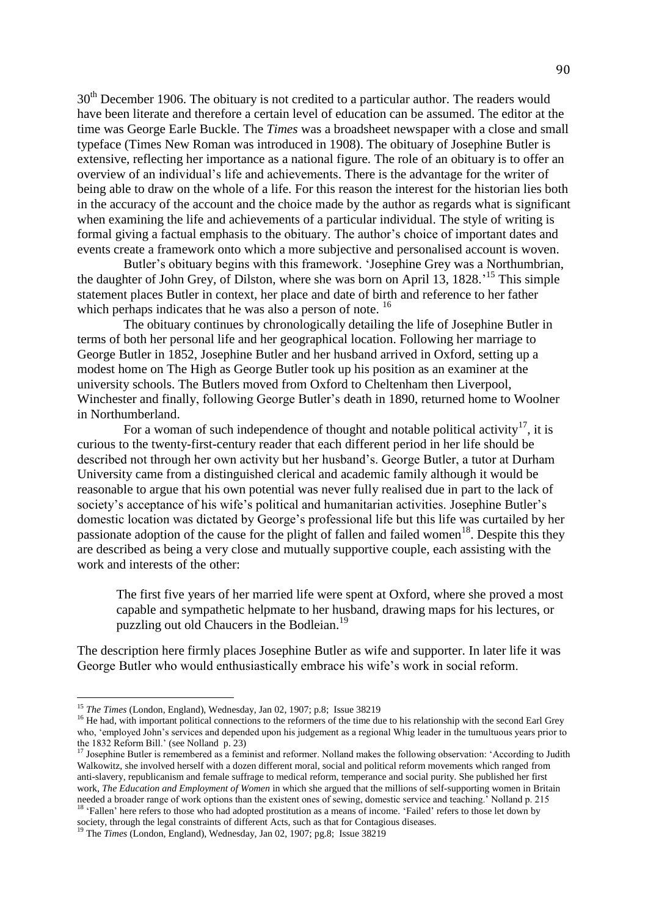30<sup>th</sup> December 1906. The obituary is not credited to a particular author. The readers would have been literate and therefore a certain level of education can be assumed. The editor at the time was George Earle Buckle. The *Times* was a broadsheet newspaper with a close and small typeface (Times New Roman was introduced in 1908). The obituary of Josephine Butler is extensive, reflecting her importance as a national figure. The role of an obituary is to offer an overview of an individual's life and achievements. There is the advantage for the writer of being able to draw on the whole of a life. For this reason the interest for the historian lies both in the accuracy of the account and the choice made by the author as regards what is significant when examining the life and achievements of a particular individual. The style of writing is formal giving a factual emphasis to the obituary. The author's choice of important dates and events create a framework onto which a more subjective and personalised account is woven.

Butler's obituary begins with this framework. 'Josephine Grey was a Northumbrian, the daughter of John Grey, of Dilston, where she was born on April 13, 1828.<sup>15</sup> This simple statement places Butler in context, her place and date of birth and reference to her father which perhaps indicates that he was also a person of note. <sup>16</sup>

The obituary continues by chronologically detailing the life of Josephine Butler in terms of both her personal life and her geographical location. Following her marriage to George Butler in 1852, Josephine Butler and her husband arrived in Oxford, setting up a modest home on The High as George Butler took up his position as an examiner at the university schools. The Butlers moved from Oxford to Cheltenham then Liverpool, Winchester and finally, following George Butler's death in 1890, returned home to Woolner in Northumberland.

For a woman of such independence of thought and notable political activity<sup>17</sup>, it is curious to the twenty-first-century reader that each different period in her life should be described not through her own activity but her husband's. George Butler, a tutor at Durham University came from a distinguished clerical and academic family although it would be reasonable to argue that his own potential was never fully realised due in part to the lack of society's acceptance of his wife's political and humanitarian activities. Josephine Butler's domestic location was dictated by George's professional life but this life was curtailed by her passionate adoption of the cause for the plight of fallen and failed women<sup>18</sup>. Despite this they are described as being a very close and mutually supportive couple, each assisting with the work and interests of the other:

The first five years of her married life were spent at Oxford, where she proved a most capable and sympathetic helpmate to her husband, drawing maps for his lectures, or puzzling out old Chaucers in the Bodleian.<sup>19</sup>

The description here firmly places Josephine Butler as wife and supporter. In later life it was George Butler who would enthusiastically embrace his wife's work in social reform.

<sup>15</sup> *The Times* (London, England), Wednesday, Jan 02, 1907; p.8; Issue 38219

<sup>&</sup>lt;sup>16</sup> He had, with important political connections to the reformers of the time due to his relationship with the second Earl Grey who, 'employed John's services and depended upon his judgement as a regional Whig leader in the tumultuous years prior to the 1832 Reform Bill.' (see Nolland p. 23)

 $17$  Josephine Butler is remembered as a feminist and reformer. Nolland makes the following observation: 'According to Judith Walkowitz, she involved herself with a dozen different moral, social and political reform movements which ranged from anti-slavery, republicanism and female suffrage to medical reform, temperance and social purity. She published her first work, *The Education and Employment of Women* in which she argued that the millions of self-supporting women in Britain needed a broader range of work options than the existent ones of sewing, domestic service and teaching.' Nolland p. 215

<sup>&</sup>lt;sup>18</sup> 'Fallen' here refers to those who had adopted prostitution as a means of income. 'Failed' refers to those let down by society, through the legal constraints of different Acts, such as that for Contagious diseases.

<sup>19</sup> The *Times* (London, England), Wednesday, Jan 02, 1907; pg.8; Issue 38219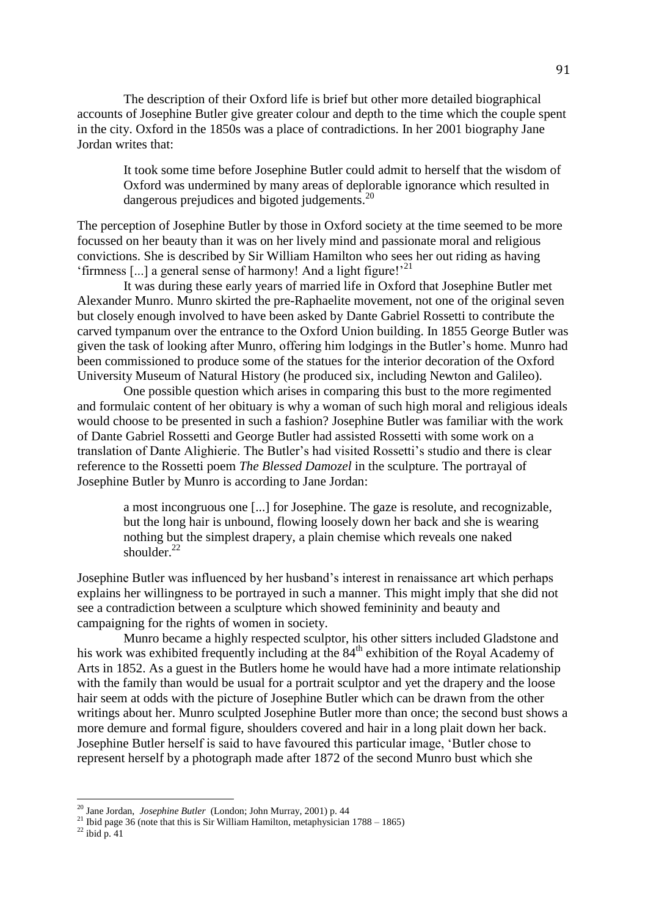The description of their Oxford life is brief but other more detailed biographical accounts of Josephine Butler give greater colour and depth to the time which the couple spent in the city. Oxford in the 1850s was a place of contradictions. In her 2001 biography Jane Jordan writes that:

It took some time before Josephine Butler could admit to herself that the wisdom of Oxford was undermined by many areas of deplorable ignorance which resulted in dangerous prejudices and bigoted judgements.<sup>20</sup>

The perception of Josephine Butler by those in Oxford society at the time seemed to be more focussed on her beauty than it was on her lively mind and passionate moral and religious convictions. She is described by Sir William Hamilton who sees her out riding as having 'firmness [...] a general sense of harmony! And a light figure!'<sup>21</sup>

It was during these early years of married life in Oxford that Josephine Butler met Alexander Munro. Munro skirted the pre-Raphaelite movement, not one of the original seven but closely enough involved to have been asked by Dante Gabriel Rossetti to contribute the carved tympanum over the entrance to the Oxford Union building. In 1855 George Butler was given the task of looking after Munro, offering him lodgings in the Butler's home. Munro had been commissioned to produce some of the statues for the interior decoration of the Oxford University Museum of Natural History (he produced six, including Newton and Galileo).

One possible question which arises in comparing this bust to the more regimented and formulaic content of her obituary is why a woman of such high moral and religious ideals would choose to be presented in such a fashion? Josephine Butler was familiar with the work of Dante Gabriel Rossetti and George Butler had assisted Rossetti with some work on a translation of Dante Alighierie. The Butler's had visited Rossetti's studio and there is clear reference to the Rossetti poem *The Blessed Damozel* in the sculpture. The portrayal of Josephine Butler by Munro is according to Jane Jordan:

a most incongruous one [...] for Josephine. The gaze is resolute, and recognizable, but the long hair is unbound, flowing loosely down her back and she is wearing nothing but the simplest drapery, a plain chemise which reveals one naked shoulder.<sup>22</sup>

Josephine Butler was influenced by her husband's interest in renaissance art which perhaps explains her willingness to be portrayed in such a manner. This might imply that she did not see a contradiction between a sculpture which showed femininity and beauty and campaigning for the rights of women in society.

Munro became a highly respected sculptor, his other sitters included Gladstone and his work was exhibited frequently including at the  $84<sup>th</sup>$  exhibition of the Royal Academy of Arts in 1852. As a guest in the Butlers home he would have had a more intimate relationship with the family than would be usual for a portrait sculptor and yet the drapery and the loose hair seem at odds with the picture of Josephine Butler which can be drawn from the other writings about her. Munro sculpted Josephine Butler more than once; the second bust shows a more demure and formal figure, shoulders covered and hair in a long plait down her back. Josephine Butler herself is said to have favoured this particular image, 'Butler chose to represent herself by a photograph made after 1872 of the second Munro bust which she

 $\overline{a}$ 

<sup>20</sup> Jane Jordan, *Josephine Butler* (London; John Murray, 2001) p. 44

<sup>&</sup>lt;sup>21</sup> Ibid page 36 (note that this is Sir William Hamilton, metaphysician  $1788 - 1865$ )

 $^{22}$  ibid p.  $41$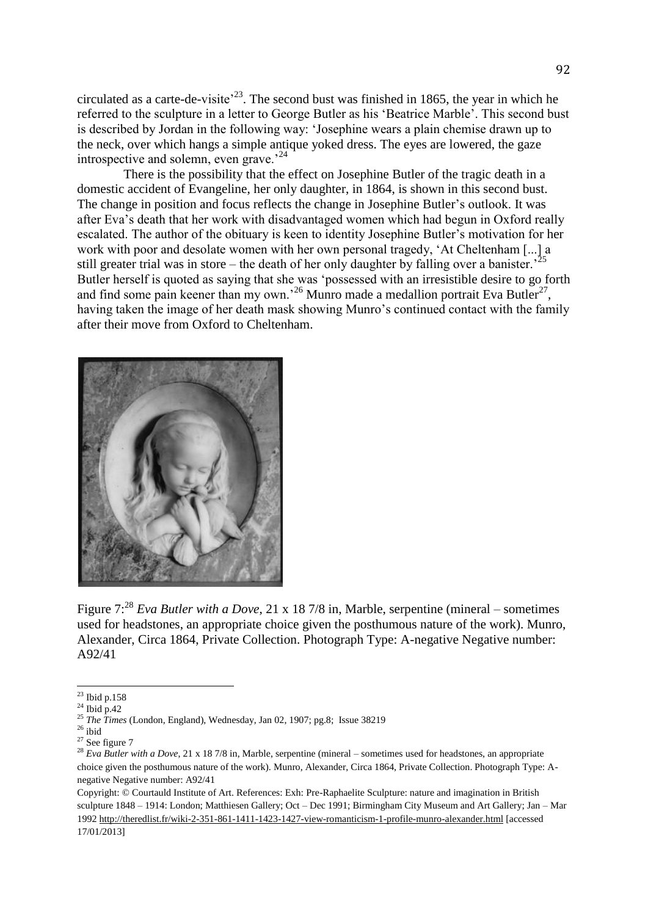circulated as a carte-de-visite<sup> $2<sup>23</sup>$ </sup>. The second bust was finished in 1865, the year in which he referred to the sculpture in a letter to George Butler as his 'Beatrice Marble'. This second bust is described by Jordan in the following way: 'Josephine wears a plain chemise drawn up to the neck, over which hangs a simple antique yoked dress. The eyes are lowered, the gaze introspective and solemn, even grave.<sup>24</sup>

There is the possibility that the effect on Josephine Butler of the tragic death in a domestic accident of Evangeline, her only daughter, in 1864, is shown in this second bust. The change in position and focus reflects the change in Josephine Butler's outlook. It was after Eva's death that her work with disadvantaged women which had begun in Oxford really escalated. The author of the obituary is keen to identity Josephine Butler's motivation for her work with poor and desolate women with her own personal tragedy, 'At Cheltenham [...] a still greater trial was in store – the death of her only daughter by falling over a banister.<sup>25</sup> Butler herself is quoted as saying that she was 'possessed with an irresistible desire to go forth and find some pain keener than my own.<sup>26</sup> Munro made a medallion portrait Eva Butler<sup>27</sup>, having taken the image of her death mask showing Munro's continued contact with the family after their move from Oxford to Cheltenham.



Figure 7:<sup>28</sup> *Eva Butler with a Dove*, 21 x 18 7/8 in, Marble, serpentine (mineral – sometimes used for headstones, an appropriate choice given the posthumous nature of the work). Munro, Alexander, Circa 1864, Private Collection. Photograph Type: A-negative Negative number: A92/41

 $\overline{a}$ 

Copyright: © Courtauld Institute of Art. References: Exh: Pre-Raphaelite Sculpture: nature and imagination in British sculpture 1848 – 1914: London; Matthiesen Gallery; Oct – Dec 1991; Birmingham City Museum and Art Gallery; Jan – Mar 1992<http://theredlist.fr/wiki-2-351-861-1411-1423-1427-view-romanticism-1-profile-munro-alexander.html> [accessed 17/01/2013]

 $^{23}$  Ibid p.158

 $24$  Ibid p.42

<sup>25</sup> *The Times* (London, England), Wednesday, Jan 02, 1907; pg.8; Issue 38219

 $^{26}$ ibid

 $27$  See figure 7

<sup>&</sup>lt;sup>28</sup> *Eva Butler with a Dove*, 21 x 18 7/8 in, Marble, serpentine (mineral – sometimes used for headstones, an appropriate choice given the posthumous nature of the work). Munro, Alexander, Circa 1864, Private Collection. Photograph Type: Anegative Negative number: A92/41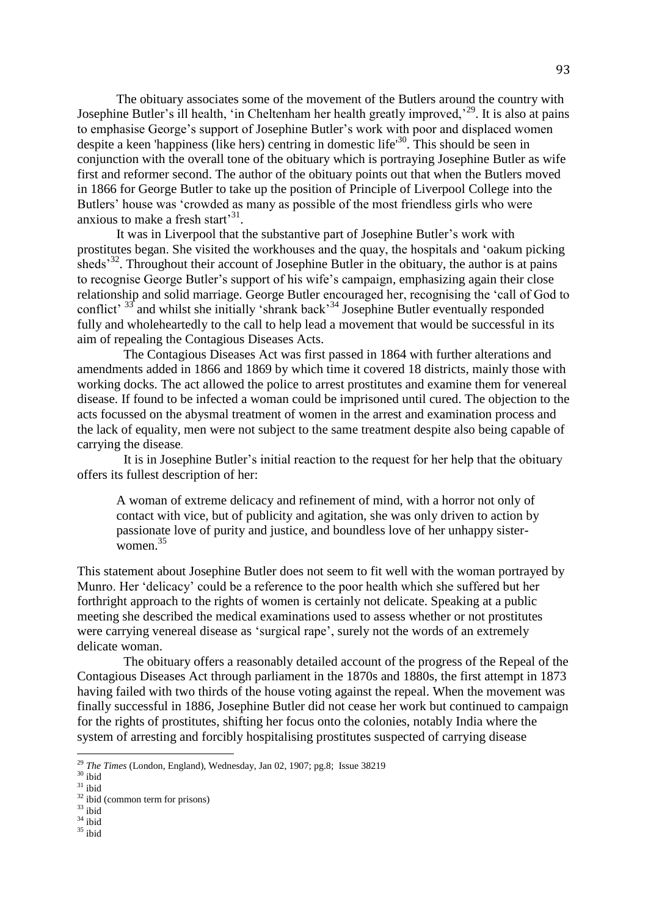The obituary associates some of the movement of the Butlers around the country with Josephine Butler's ill health, 'in Cheltenham her health greatly improved,<sup>29</sup>. It is also at pains to emphasise George's support of Josephine Butler's work with poor and displaced women despite a keen 'happiness (like hers) centring in domestic life<sup>30</sup>. This should be seen in conjunction with the overall tone of the obituary which is portraying Josephine Butler as wife first and reformer second. The author of the obituary points out that when the Butlers moved in 1866 for George Butler to take up the position of Principle of Liverpool College into the Butlers' house was 'crowded as many as possible of the most friendless girls who were anxious to make a fresh start<sup>31</sup>.

It was in Liverpool that the substantive part of Josephine Butler's work with prostitutes began. She visited the workhouses and the quay, the hospitals and 'oakum picking sheds<sup>32</sup>. Throughout their account of Josephine Butler in the obituary, the author is at pains to recognise George Butler's support of his wife's campaign, emphasizing again their close relationship and solid marriage. George Butler encouraged her, recognising the 'call of God to conflict<sup>33</sup> and whilst she initially 'shrank back<sup>34</sup> Josephine Butler eventually responded fully and wholeheartedly to the call to help lead a movement that would be successful in its aim of repealing the Contagious Diseases Acts.

The Contagious Diseases Act was first passed in 1864 with further alterations and amendments added in 1866 and 1869 by which time it covered 18 districts, mainly those with working docks. The act allowed the police to arrest prostitutes and examine them for venereal disease. If found to be infected a woman could be imprisoned until cured. The objection to the acts focussed on the abysmal treatment of women in the arrest and examination process and the lack of equality, men were not subject to the same treatment despite also being capable of carrying the disease.

It is in Josephine Butler's initial reaction to the request for her help that the obituary offers its fullest description of her:

A woman of extreme delicacy and refinement of mind, with a horror not only of contact with vice, but of publicity and agitation, she was only driven to action by passionate love of purity and justice, and boundless love of her unhappy sisterwomen. $35$ 

This statement about Josephine Butler does not seem to fit well with the woman portrayed by Munro. Her 'delicacy' could be a reference to the poor health which she suffered but her forthright approach to the rights of women is certainly not delicate. Speaking at a public meeting she described the medical examinations used to assess whether or not prostitutes were carrying venereal disease as 'surgical rape', surely not the words of an extremely delicate woman.

The obituary offers a reasonably detailed account of the progress of the Repeal of the Contagious Diseases Act through parliament in the 1870s and 1880s, the first attempt in 1873 having failed with two thirds of the house voting against the repeal. When the movement was finally successful in 1886, Josephine Butler did not cease her work but continued to campaign for the rights of prostitutes, shifting her focus onto the colonies, notably India where the system of arresting and forcibly hospitalising prostitutes suspected of carrying disease

- $34$  ibid
- $35$  ibid

<sup>29</sup> *The Times* (London, England), Wednesday, Jan 02, 1907; pg.8; Issue 38219

 $30$  ibid

 $31$  ibid

 $32$  ibid (common term for prisons)

 $33$  ibid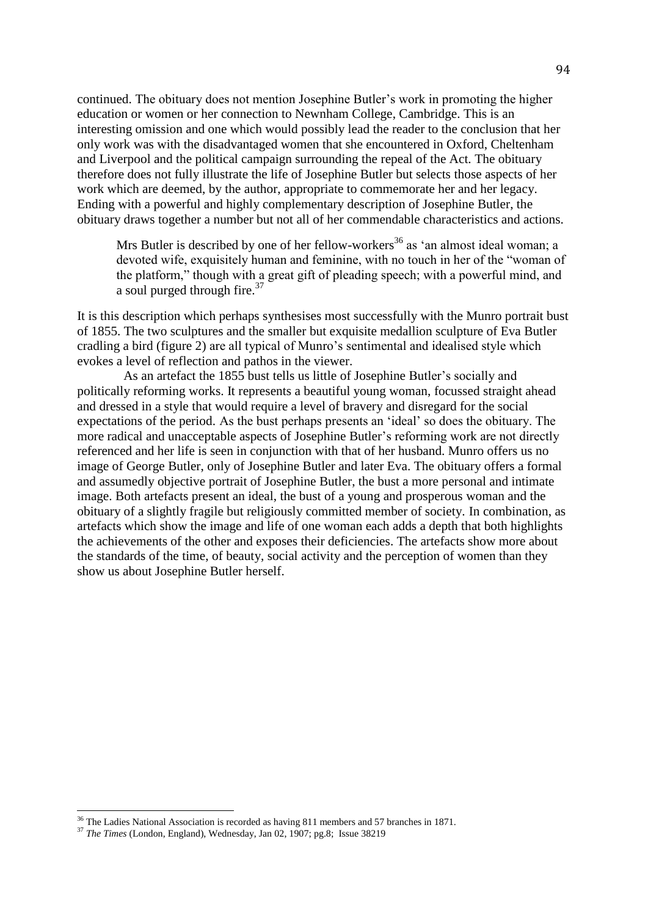continued. The obituary does not mention Josephine Butler's work in promoting the higher education or women or her connection to Newnham College, Cambridge. This is an interesting omission and one which would possibly lead the reader to the conclusion that her only work was with the disadvantaged women that she encountered in Oxford, Cheltenham and Liverpool and the political campaign surrounding the repeal of the Act. The obituary therefore does not fully illustrate the life of Josephine Butler but selects those aspects of her work which are deemed, by the author, appropriate to commemorate her and her legacy. Ending with a powerful and highly complementary description of Josephine Butler, the obituary draws together a number but not all of her commendable characteristics and actions.

Mrs Butler is described by one of her fellow-workers<sup>36</sup> as 'an almost ideal woman; a devoted wife, exquisitely human and feminine, with no touch in her of the "woman of the platform," though with a great gift of pleading speech; with a powerful mind, and a soul purged through fire.<sup>37</sup>

It is this description which perhaps synthesises most successfully with the Munro portrait bust of 1855. The two sculptures and the smaller but exquisite medallion sculpture of Eva Butler cradling a bird (figure 2) are all typical of Munro's sentimental and idealised style which evokes a level of reflection and pathos in the viewer.

As an artefact the 1855 bust tells us little of Josephine Butler's socially and politically reforming works. It represents a beautiful young woman, focussed straight ahead and dressed in a style that would require a level of bravery and disregard for the social expectations of the period. As the bust perhaps presents an 'ideal' so does the obituary. The more radical and unacceptable aspects of Josephine Butler's reforming work are not directly referenced and her life is seen in conjunction with that of her husband. Munro offers us no image of George Butler, only of Josephine Butler and later Eva. The obituary offers a formal and assumedly objective portrait of Josephine Butler, the bust a more personal and intimate image. Both artefacts present an ideal, the bust of a young and prosperous woman and the obituary of a slightly fragile but religiously committed member of society. In combination, as artefacts which show the image and life of one woman each adds a depth that both highlights the achievements of the other and exposes their deficiencies. The artefacts show more about the standards of the time, of beauty, social activity and the perception of women than they show us about Josephine Butler herself.

 $\overline{a}$ 

<sup>&</sup>lt;sup>36</sup> The Ladies National Association is recorded as having 811 members and 57 branches in 1871.

<sup>&</sup>lt;sup>37</sup> *The Times* (London, England), Wednesday, Jan 02, 1907; pg.8; Issue 38219